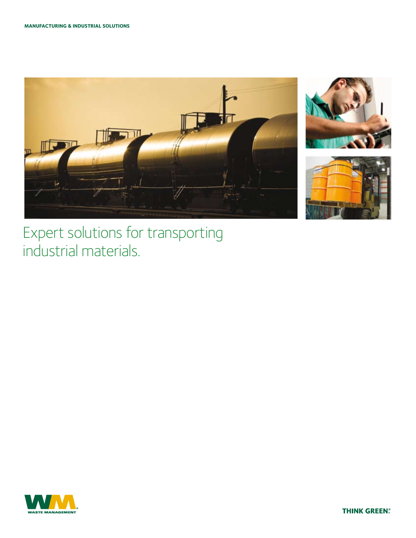





## Expert solutions for transporting industrial materials.



**THINK GREEN?**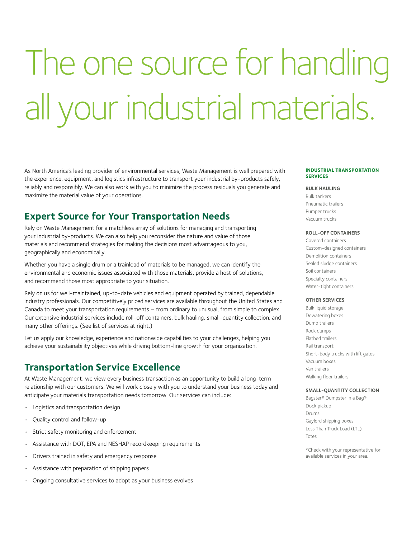# The one source for handling all your industrial materials.

As North America's leading provider of environmental services, Waste Management is well prepared with the experience, equipment, and logistics infrastructure to transport your industrial by-products safely, reliably and responsibly. We can also work with you to minimize the process residuals you generate and maximize the material value of your operations.

## **Expert Source for Your Transportation Needs**

Rely on Waste Management for a matchless array of solutions for managing and transporting your industrial by-products. We can also help you reconsider the nature and value of those materials and recommend strategies for making the decisions most advantageous to you, geographically and economically.

Whether you have a single drum or a trainload of materials to be managed, we can identify the environmental and economic issues associated with those materials, provide a host of solutions, and recommend those most appropriate to your situation.

Rely on us for well-maintained, up-to-date vehicles and equipment operated by trained, dependable industry professionals. Our competitively priced services are available throughout the United States and Canada to meet your transportation requirements – from ordinary to unusual, from simple to complex. Our extensive industrial services include roll-off containers, bulk hauling, small-quantity collection, and many other offerings. (See list of services at right.)

Let us apply our knowledge, experience and nationwide capabilities to your challenges, helping you achieve your sustainability objectives while driving bottom-line growth for your organization.

## **Transportation Service Excellence**

At Waste Management, we view every business transaction as an opportunity to build a long-term relationship with our customers. We will work closely with you to understand your business today and anticipate your materials transportation needs tomorrow. Our services can include:

- • Logistics and transportation design
- • Quality control and follow-up
- Strict safety monitoring and enforcement
- Assistance with DOT, EPA and NESHAP recordkeeping requirements
- Drivers trained in safety and emergency response
- • Assistance with preparation of shipping papers
- • Ongoing consultative services to adopt as your business evolves

#### **Industrial Transportation Services**

#### **BULK HAULING**

Bulk tankers Pneumatic trailers Pumper trucks Vacuum trucks

#### **ROLL-OFF CONTAINERS**

Covered containers Custom-designed containers Demolition containers Sealed sludge containers Soil containers Specialty containers Water-tight containers

#### **OTHER SERVICES**

Bulk liquid storage Dewatering boxes Dump trailers Rock dumps Flatbed trailers Rail transport Short-body trucks with lift gates Vacuum boxes Van trailers Walking floor trailers

#### **SMALL-QUANTITY COLLECTION**

Bagster® Dumpster in a Bag® Dock pickup Drums Gaylord shipping boxes Less Than Truck Load (LTL) Totes

\*Check with your representative for available services in your area.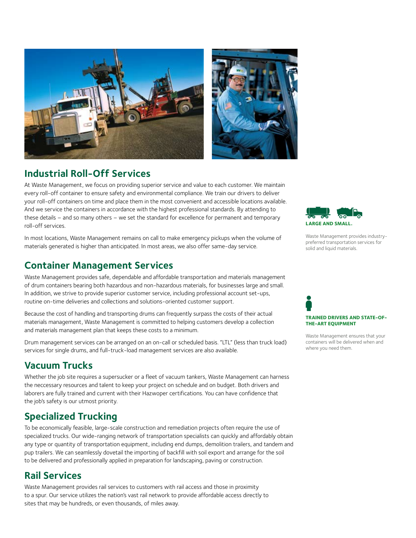

## **Industrial Roll-Off Services**

At Waste Management, we focus on providing superior service and value to each customer. We maintain every roll-off container to ensure safety and environmental compliance. We train our drivers to deliver your roll-off containers on time and place them in the most convenient and accessible locations available. And we service the containers in accordance with the highest professional standards. By attending to these details – and so many others – we set the standard for excellence for permanent and temporary roll-off services.

In most locations, Waste Management remains on call to make emergency pickups when the volume of materials generated is higher than anticipated. In most areas, we also offer same-day service.

## **Container Management Services**

Waste Management provides safe, dependable and affordable transportation and materials management of drum containers bearing both hazardous and non-hazardous materials, for businesses large and small. In addition, we strive to provide superior customer service, including professional account set-ups, routine on-time deliveries and collections and solutions-oriented customer support.

Because the cost of handling and transporting drums can frequently surpass the costs of their actual materials management, Waste Management is committed to helping customers develop a collection and materials management plan that keeps these costs to a minimum.

Drum management services can be arranged on an on-call or scheduled basis. "LTL" (less than truck load) services for single drums, and full-truck-load management services are also available.

## **Vacuum Trucks**

Whether the job site requires a supersucker or a fleet of vacuum tankers, Waste Management can harness the neccessary resources and talent to keep your project on schedule and on budget. Both drivers and laborers are fully trained and current with their Hazwoper certifications. You can have confidence that the job's safety is our utmost priority.

## **Specialized Trucking**

To be economically feasible, large-scale construction and remediation projects often require the use of specialized trucks. Our wide-ranging network of transportation specialists can quickly and affordably obtain any type or quantity of transportation equipment, including end dumps, demolition trailers, and tandem and pup trailers. We can seamlessly dovetail the importing of backfill with soil export and arrange for the soil to be delivered and professionally applied in preparation for landscaping, paving or construction.

## **Rail Services**

Waste Management provides rail services to customers with rail access and those in proximity to a spur. Our service utilizes the nation's vast rail network to provide affordable access directly to sites that may be hundreds, or even thousands, of miles away.



Waste Management provides industrypreferred transportation services for solid and liquid materials.

## **Trained drivers and state-ofthe-art equipment**

Waste Management ensures that your containers will be delivered when and where you need them.